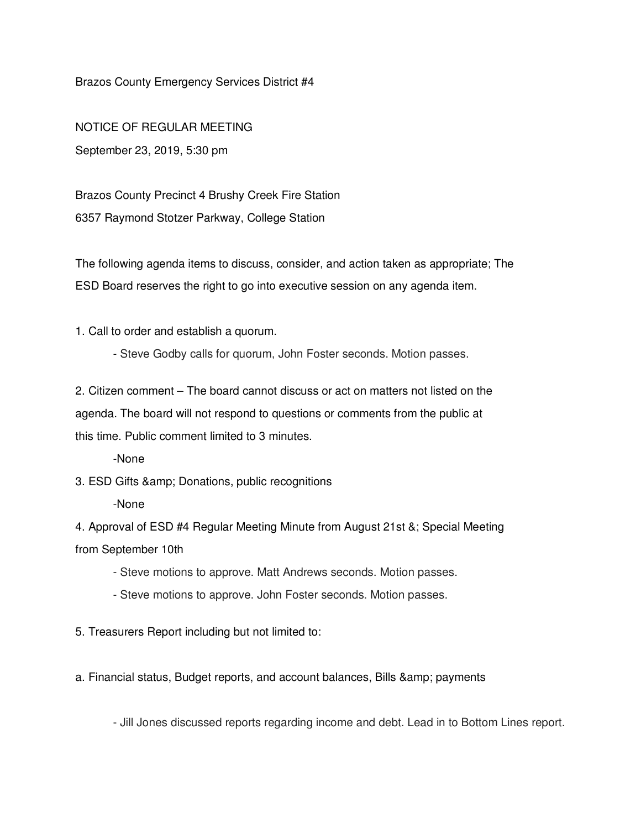Brazos County Emergency Services District #4

NOTICE OF REGULAR MEETING September 23, 2019, 5:30 pm

Brazos County Precinct 4 Brushy Creek Fire Station 6357 Raymond Stotzer Parkway, College Station

The following agenda items to discuss, consider, and action taken as appropriate; The ESD Board reserves the right to go into executive session on any agenda item.

1. Call to order and establish a quorum.

- Steve Godby calls for quorum, John Foster seconds. Motion passes.

2. Citizen comment – The board cannot discuss or act on matters not listed on the agenda. The board will not respond to questions or comments from the public at this time. Public comment limited to 3 minutes.

-None

3. ESD Gifts & amp; Donations, public recognitions

-None

4. Approval of ESD #4 Regular Meeting Minute from August 21st &; Special Meeting from September 10th

- Steve motions to approve. Matt Andrews seconds. Motion passes.
- Steve motions to approve. John Foster seconds. Motion passes.

5. Treasurers Report including but not limited to:

a. Financial status, Budget reports, and account balances, Bills & amp; payments

- Jill Jones discussed reports regarding income and debt. Lead in to Bottom Lines report.